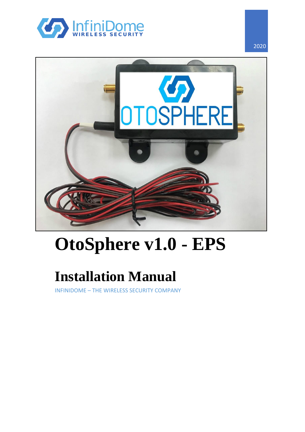



# **OtoSphere v1.0 - EPS**

## **Installation Manual**

INFINIDOME – THE WIRELESS SECURITY COMPANY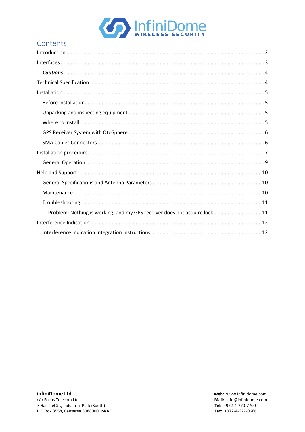

## Contents

| Problem: Nothing is working, and my GPS receiver does not acquire lock 11 |  |
|---------------------------------------------------------------------------|--|
|                                                                           |  |
|                                                                           |  |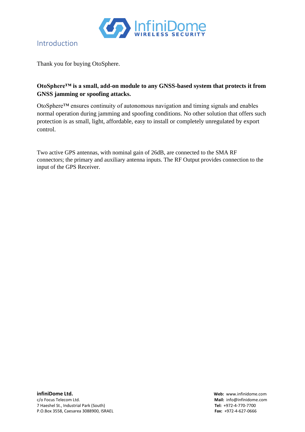

#### <span id="page-2-0"></span>Introduction

Thank you for buying OtoSphere.

#### **OtoSphere™ is a small, add-on module to any GNSS-based system that protects it from GNSS jamming or spoofing attacks.**

OtoSphere™ ensures continuity of autonomous navigation and timing signals and enables normal operation during jamming and spoofing conditions. No other solution that offers such protection is as small, light, affordable, easy to install or completely unregulated by export control.

Two active GPS antennas, with nominal gain of 26dB, are connected to the SMA RF connectors; the primary and auxiliary antenna inputs. The RF Output provides connection to the input of the GPS Receiver.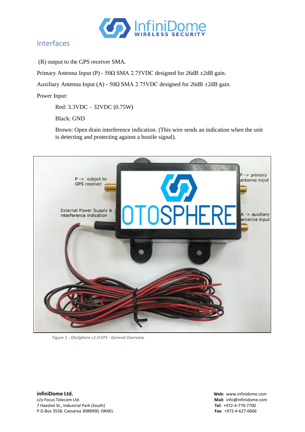

#### <span id="page-3-0"></span>Interfaces

(R) output to the GPS receiver SMA.

Primary Antenna Input (P) - 50 $\Omega$  SMA 2.75VDC designed for 26dB  $\pm$ 2dB gain.

Auxiliary Antenna Input (A) - 50 $\Omega$  SMA 2.75VDC designed for 26dB ±2dB gain.

Power Input:

Red: 3.3VDC – 32VDC (0.75W)

Black: GND

Brown: Open drain interference indication. (This wire sends an indication when the unit is detecting and protecting against a hostile signal).



*Figure 1 - OtoSphere v1.0-EPS - General Overview*

**infiniDome Ltd. Web:** www.infinidome.com c/o Focus Telecom Ltd. **Mail:** info@infinidome.com 7 Haeshel St., Industrial Park (South) **Tel:** +972-4-770-7700 P.O.Box 3558, Caesarea 3088900, ISRAEL **Fax:** +972-4-627-0666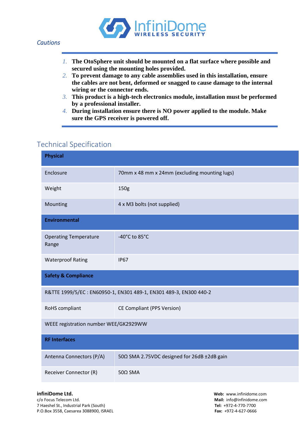

- <span id="page-4-0"></span>*1.* **The OtoSphere unit should be mounted on a flat surface where possible and secured using the mounting holes provided.**
- *2.* **To prevent damage to any cable assemblies used in this installation, ensure the cables are not bent, deformed or snagged to cause damage to the internal wiring or the connector ends.**
- *3.* **This product is a high-tech electronics module, installation must be performed by a professional installer.**
- *4.* **During installation ensure there is NO power applied to the module. Make sure the GPS receiver is powered off.**

#### <span id="page-4-1"></span>Technical Specification

| <b>Physical</b>                                                   |                                               |  |  |  |  |  |
|-------------------------------------------------------------------|-----------------------------------------------|--|--|--|--|--|
| Enclosure                                                         | 70mm x 48 mm x 24mm (excluding mounting lugs) |  |  |  |  |  |
| Weight                                                            | 150g                                          |  |  |  |  |  |
| Mounting                                                          | 4 x M3 bolts (not supplied)                   |  |  |  |  |  |
| <b>Environmental</b>                                              |                                               |  |  |  |  |  |
| <b>Operating Temperature</b><br>Range                             | -40°C to 85°C                                 |  |  |  |  |  |
| <b>Waterproof Rating</b>                                          | <b>IP67</b>                                   |  |  |  |  |  |
| <b>Safety &amp; Compliance</b>                                    |                                               |  |  |  |  |  |
| R&TTE 1999/5/EC: EN60950-1, EN301 489-1, EN301 489-3, EN300 440-2 |                                               |  |  |  |  |  |
| RoHS compliant                                                    | <b>CE Compliant (PPS Version)</b>             |  |  |  |  |  |
| WEEE registration number WEE/GK2929WW                             |                                               |  |  |  |  |  |
| <b>RF Interfaces</b>                                              |                                               |  |  |  |  |  |
| Antenna Connectors (P/A)                                          | 50Ω SMA 2.75VDC designed for 26dB ±2dB gain   |  |  |  |  |  |
| Receiver Connector (R)                                            | $50\Omega$ SMA                                |  |  |  |  |  |

c/o Focus Telecom Ltd. **Mail:** info@infinidome.com 7 Haeshel St., Industrial Park (South) **Tel:** +972-4-770-7700 P.O.Box 3558, Caesarea 3088900, ISRAEL **Fax:** +972-4-627-0666

**infiniDome Ltd. Web:** www.infinidome.com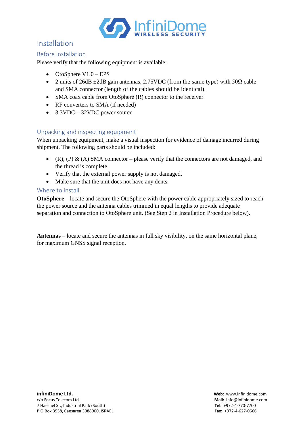

#### <span id="page-5-0"></span>Installation

#### <span id="page-5-1"></span>Before installation

Please verify that the following equipment is available:

- OtoSphere V1.0 EPS
- 2 units of 26dB  $\pm$ 2dB gain antennas, 2.75VDC (from the same type) with 50 $\Omega$  cable and SMA connector (length of the cables should be identical).
- SMA coax cable from OtoSphere (R) connector to the receiver
- RF converters to SMA (if needed)
- 3.3VDC 32VDC power source

#### <span id="page-5-2"></span>Unpacking and inspecting equipment

When unpacking equipment, make a visual inspection for evidence of damage incurred during shipment. The following parts should be included:

- (R), (P) & (A) SMA connector please verify that the connectors are not damaged, and the thread is complete.
- Verify that the external power supply is not damaged.
- Make sure that the unit does not have any dents.

#### <span id="page-5-3"></span>Where to install

**OtoSphere** – locate and secure the OtoSphere with the power cable appropriately sized to reach the power source and the antenna cables trimmed in equal lengths to provide adequate separation and connection to OtoSphere unit. (See Step 2 in Installation Procedure below).

**Antennas** – locate and secure the antennas in full sky visibility, on the same horizontal plane, for maximum GNSS signal reception.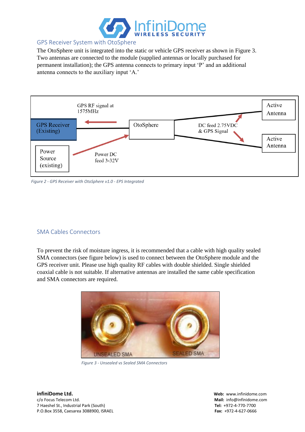

#### <span id="page-6-0"></span>GPS Receiver System with OtoSphere

The OtoSphere unit is integrated into the static or vehicle GPS receiver as shown in Figure 3. Two antennas are connected to the module (supplied antennas or locally purchased for permanent installation); the GPS antenna connects to primary input 'P' and an additional antenna connects to the auxiliary input 'A.'



*Figure 2 - GPS Receiver with OtoSphere v1.0 - EPS Integrated*

#### <span id="page-6-1"></span>SMA Cables Connectors

To prevent the risk of moisture ingress, it is recommended that a cable with high quality sealed SMA connectors (see figure below) is used to connect between the OtoSphere module and the GPS receiver unit. Please use high quality RF cables with double shielded. Single shielded coaxial cable is not suitable. If alternative antennas are installed the same cable specification and SMA connectors are required.



*Figure 3 - Unsealed vs Sealed SMA Connectors*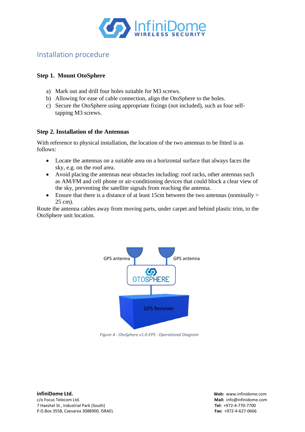

#### <span id="page-7-0"></span>Installation procedure

#### **Step 1. Mount OtoSphere**

- a) Mark out and drill four holes suitable for M3 screws.
- b) Allowing for ease of cable connection, align the OtoSphere to the holes.
- c) Secure the OtoSphere using appropriate fixings (not included), such as four selftapping M3 screws.

#### **Step 2. Installation of the Antennas**

With reference to physical installation, the location of the two antennas to be fitted is as follows:

- Locate the antennas on a suitable area on a horizontal surface that always faces the sky, e.g. on the roof area.
- Avoid placing the antennas near obstacles including: roof racks, other antennas such as AM/FM and cell phone or air-conditioning devices that could block a clear view of the sky, preventing the satellite signals from reaching the antenna.
- Ensure that there is a distance of at least 15cm between the two antennas (nominally  $>$ 25 cm).

Route the antenna cables away from moving parts, under carpet and behind plastic trim, to the OtoSphere unit location.



*Figure 4 - OtoSphere v1.0-EPS - Operational Diagram*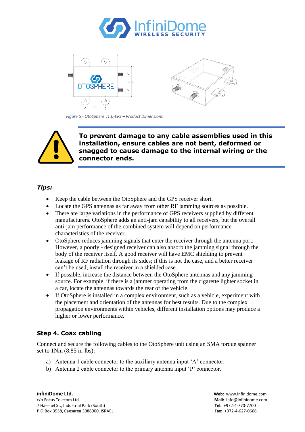



*Figure 5 - OtoSphere v1.0-EPS – Product Dimensions*



**To prevent damage to any cable assemblies used in this installation, ensure cables are not bent, deformed or snagged to cause damage to the internal wiring or the connector ends.**

#### *Tips:*

- Keep the cable between the OtoSphere and the GPS receiver short.
- Locate the GPS antennas as far away from other RF jamming sources as possible.
- There are large variations in the performance of GPS receivers supplied by different manufacturers. OtoSphere adds an anti-jam capability to all receivers, but the overall anti-jam performance of the combined system will depend on performance characteristics of the receiver.
- OtoSphere reduces jamming signals that enter the receiver through the antenna port. However, a poorly - designed receiver can also absorb the jamming signal through the body of the receiver itself. A good receiver will have EMC shielding to prevent leakage of RF radiation through its sides; if this is not the case, and a better receiver can't be used, install the receiver in a shielded case.
- If possible, increase the distance between the OtoSphere antennas and any jamming source. For example, if there is a jammer operating from the cigarette lighter socket in a car, locate the antennas towards the rear of the vehicle.
- If OtoSphere is installed in a complex environment, such as a vehicle, experiment with the placement and orientation of the antennas for best results. Due to the complex propagation environments within vehicles, different installation options may produce a higher or lower performance.

#### **Step 4. Coax cabling**

Connect and secure the following cables to the OtoSphere unit using an SMA torque spanner set to 1Nm (8.85 in-lbs):

- a) Antenna 1 cable connector to the auxiliary antenna input 'A' connector.
- b) Antenna 2 cable connector to the primary antenna input 'P' connector.

**infiniDome Ltd. Web:** www.infinidome.com c/o Focus Telecom Ltd. **Mail:** info@infinidome.com 7 Haeshel St., Industrial Park (South) **Tel:** +972-4-770-7700 P.O.Box 3558, Caesarea 3088900, ISRAEL **Fax:** +972-4-627-0666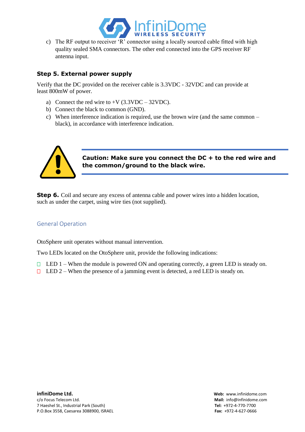

c) The RF output to receiver 'R' connector using a locally sourced cable fitted with high quality sealed SMA connectors. The other end connected into the GPS receiver RF antenna input.

#### **Step 5. External power supply**

Verify that the DC provided on the receiver cable is 3.3VDC - 32VDC and can provide at least 800mW of power.

- a) Connect the red wire to  $+V$  (3.3VDC 32VDC).
- b) Connect the black to common (GND).
- c) When interference indication is required, use the brown wire (and the same common black), in accordance with interference indication.



#### **Caution: Make sure you connect the DC + to the red wire and the common/ground to the black wire.**

**Step 6.** Coil and secure any excess of antenna cable and power wires into a hidden location, such as under the carpet, using wire ties (not supplied).

#### <span id="page-9-0"></span>General Operation

OtoSphere unit operates without manual intervention.

Two LEDs located on the OtoSphere unit, provide the following indications:

- $\Box$  LED 1 When the module is powered ON and operating correctly, a green LED is steady on.
- $\Box$  LED 2 When the presence of a jamming event is detected, a red LED is steady on.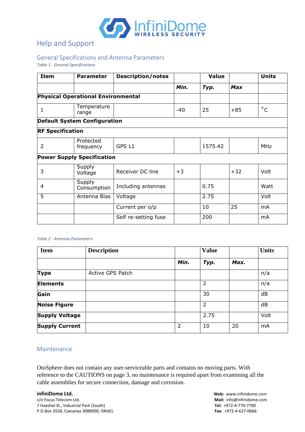

### <span id="page-10-0"></span>Help and Support

#### <span id="page-10-1"></span>General Specifications and Antenna Parameters

*Table 1 - General Specifications*

| <b>Item</b>             | <b>Parameter</b>                          | <b>Description/notes</b> |       | <b>Value</b> |            | <b>Units</b> |
|-------------------------|-------------------------------------------|--------------------------|-------|--------------|------------|--------------|
|                         |                                           |                          | Min.  | Typ.         | <b>Max</b> |              |
|                         | <b>Physical Operational Environmental</b> |                          |       |              |            |              |
| $\mathbf{1}$            | Temperature<br>range                      |                          | $-40$ | 25           | $+85$      | $^{\circ}$ C |
|                         | <b>Default System Configuration</b>       |                          |       |              |            |              |
| <b>RF Specification</b> |                                           |                          |       |              |            |              |
| $\overline{2}$          | Protected<br>frequency                    | GPS L1                   |       | 1575.42      |            | <b>MHz</b>   |
|                         | <b>Power Supply Specification</b>         |                          |       |              |            |              |
| 3                       | Supply<br>Voltage                         | Receiver DC line         | $+3$  |              | $+32$      | Volt         |
| 4                       | Supply<br>Consumption                     | Including antennas       |       | 0.75         |            | Watt         |
| $\overline{5}$          | Antenna Bias                              | Voltage                  |       | 2.75         |            | Volt         |
|                         |                                           | Current per o/p          |       | 10           | 25         | mA           |
|                         |                                           | Self re-setting fuse     |       | 200          |            | mA           |

#### *Table 2 - Antenna Parameters*

| <b>Item</b>           | <b>Description</b> |      | <b>Value</b>   |      | <b>Units</b> |
|-----------------------|--------------------|------|----------------|------|--------------|
|                       |                    | Min. | Typ.           | Max. |              |
| <b>Type</b>           | Active GPS Patch   |      |                |      | n/a          |
| <b>Elements</b>       |                    |      | $\overline{2}$ |      | n/a          |
| Gain                  |                    |      | 30             |      | dB           |
| <b>Noise Figure</b>   |                    |      | $\overline{2}$ |      | dB           |
| <b>Supply Voltage</b> |                    |      | 2.75           |      | Volt         |
| <b>Supply Current</b> |                    | 2    | 10             | 20   | mA           |

#### <span id="page-10-2"></span>Maintenance

OtoSphere does not contain any user-serviceable parts and contains no moving parts. With reference to the CAUTIONS on page 3, no maintenance is required apart from examining all the cable assemblies for secure connection, damage and corrosion.

7 Haeshel St., Industrial Park (South) **Tel:** +972-4-770-7700 P.O.Box 3558, Caesarea 3088900, ISRAEL **Fax:** +972-4-627-0666

**infiniDome Ltd. Web:** www.infinidome.com<br>
c/o Focus Telecom Ltd. **Mail:** info@infinidome.com Mail: info@infinidome.com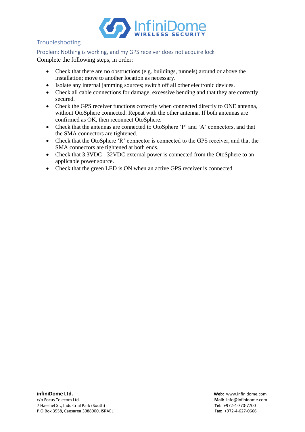

#### <span id="page-11-0"></span>Troubleshooting

<span id="page-11-1"></span>Problem: Nothing is working, and my GPS receiver does not acquire lock

Complete the following steps, in order:

- Check that there are no obstructions (e.g. buildings, tunnels) around or above the installation; move to another location as necessary.
- Isolate any internal jamming sources; switch off all other electronic devices.
- Check all cable connections for damage, excessive bending and that they are correctly secured.
- Check the GPS receiver functions correctly when connected directly to ONE antenna, without OtoSphere connected. Repeat with the other antenna. If both antennas are confirmed as OK, then reconnect OtoSphere.
- Check that the antennas are connected to OtoSphere 'P' and 'A' connectors, and that the SMA connectors are tightened.
- Check that the OtoSphere 'R' connector is connected to the GPS receiver, and that the SMA connectors are tightened at both ends.
- Check that 3.3VDC 32VDC external power is connected from the OtoSphere to an applicable power source.
- Check that the green LED is ON when an active GPS receiver is connected